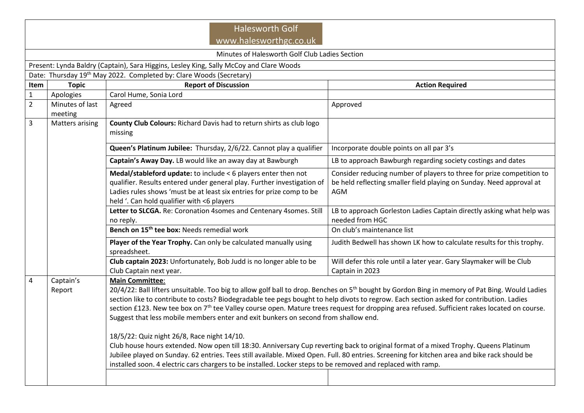| <b>Halesworth Golf</b><br>www.halesworthgc.co.uk                                        |                                                                                                                                                                                                                                                                                                                                                                                                                                                                                                                                                                                                                                                                                                                                                                                                                                                                                                                                                                                                                                                                   |                                                                                                                                                                                                                                                                  |                                                                                                                                                             |  |  |  |  |
|-----------------------------------------------------------------------------------------|-------------------------------------------------------------------------------------------------------------------------------------------------------------------------------------------------------------------------------------------------------------------------------------------------------------------------------------------------------------------------------------------------------------------------------------------------------------------------------------------------------------------------------------------------------------------------------------------------------------------------------------------------------------------------------------------------------------------------------------------------------------------------------------------------------------------------------------------------------------------------------------------------------------------------------------------------------------------------------------------------------------------------------------------------------------------|------------------------------------------------------------------------------------------------------------------------------------------------------------------------------------------------------------------------------------------------------------------|-------------------------------------------------------------------------------------------------------------------------------------------------------------|--|--|--|--|
| Minutes of Halesworth Golf Club Ladies Section                                          |                                                                                                                                                                                                                                                                                                                                                                                                                                                                                                                                                                                                                                                                                                                                                                                                                                                                                                                                                                                                                                                                   |                                                                                                                                                                                                                                                                  |                                                                                                                                                             |  |  |  |  |
| Present: Lynda Baldry (Captain), Sara Higgins, Lesley King, Sally McCoy and Clare Woods |                                                                                                                                                                                                                                                                                                                                                                                                                                                                                                                                                                                                                                                                                                                                                                                                                                                                                                                                                                                                                                                                   |                                                                                                                                                                                                                                                                  |                                                                                                                                                             |  |  |  |  |
| Date: Thursday 19th May 2022. Completed by: Clare Woods (Secretary)                     |                                                                                                                                                                                                                                                                                                                                                                                                                                                                                                                                                                                                                                                                                                                                                                                                                                                                                                                                                                                                                                                                   |                                                                                                                                                                                                                                                                  |                                                                                                                                                             |  |  |  |  |
| Item                                                                                    | <b>Topic</b>                                                                                                                                                                                                                                                                                                                                                                                                                                                                                                                                                                                                                                                                                                                                                                                                                                                                                                                                                                                                                                                      | <b>Report of Discussion</b>                                                                                                                                                                                                                                      | <b>Action Required</b>                                                                                                                                      |  |  |  |  |
| $\mathbf 1$                                                                             | Apologies                                                                                                                                                                                                                                                                                                                                                                                                                                                                                                                                                                                                                                                                                                                                                                                                                                                                                                                                                                                                                                                         | Carol Hume, Sonia Lord                                                                                                                                                                                                                                           |                                                                                                                                                             |  |  |  |  |
| $\overline{2}$                                                                          | Minutes of last<br>meeting                                                                                                                                                                                                                                                                                                                                                                                                                                                                                                                                                                                                                                                                                                                                                                                                                                                                                                                                                                                                                                        | Agreed                                                                                                                                                                                                                                                           | Approved                                                                                                                                                    |  |  |  |  |
| $\overline{3}$                                                                          | <b>Matters arising</b>                                                                                                                                                                                                                                                                                                                                                                                                                                                                                                                                                                                                                                                                                                                                                                                                                                                                                                                                                                                                                                            | County Club Colours: Richard Davis had to return shirts as club logo<br>missing                                                                                                                                                                                  |                                                                                                                                                             |  |  |  |  |
|                                                                                         |                                                                                                                                                                                                                                                                                                                                                                                                                                                                                                                                                                                                                                                                                                                                                                                                                                                                                                                                                                                                                                                                   | Queen's Platinum Jubilee: Thursday, 2/6/22. Cannot play a qualifier                                                                                                                                                                                              | Incorporate double points on all par 3's                                                                                                                    |  |  |  |  |
|                                                                                         |                                                                                                                                                                                                                                                                                                                                                                                                                                                                                                                                                                                                                                                                                                                                                                                                                                                                                                                                                                                                                                                                   | Captain's Away Day. LB would like an away day at Bawburgh                                                                                                                                                                                                        | LB to approach Bawburgh regarding society costings and dates                                                                                                |  |  |  |  |
|                                                                                         |                                                                                                                                                                                                                                                                                                                                                                                                                                                                                                                                                                                                                                                                                                                                                                                                                                                                                                                                                                                                                                                                   | Medal/stableford update: to include < 6 players enter then not<br>qualifier. Results entered under general play. Further investigation of<br>Ladies rules shows 'must be at least six entries for prize comp to be<br>held '. Can hold qualifier with <6 players | Consider reducing number of players to three for prize competition to<br>be held reflecting smaller field playing on Sunday. Need approval at<br><b>AGM</b> |  |  |  |  |
|                                                                                         |                                                                                                                                                                                                                                                                                                                                                                                                                                                                                                                                                                                                                                                                                                                                                                                                                                                                                                                                                                                                                                                                   | Letter to SLCGA. Re: Coronation 4somes and Centenary 4somes. Still<br>no reply.                                                                                                                                                                                  | LB to approach Gorleston Ladies Captain directly asking what help was<br>needed from HGC                                                                    |  |  |  |  |
|                                                                                         |                                                                                                                                                                                                                                                                                                                                                                                                                                                                                                                                                                                                                                                                                                                                                                                                                                                                                                                                                                                                                                                                   | Bench on 15 <sup>th</sup> tee box: Needs remedial work                                                                                                                                                                                                           | On club's maintenance list                                                                                                                                  |  |  |  |  |
|                                                                                         |                                                                                                                                                                                                                                                                                                                                                                                                                                                                                                                                                                                                                                                                                                                                                                                                                                                                                                                                                                                                                                                                   | Player of the Year Trophy. Can only be calculated manually using<br>spreadsheet.                                                                                                                                                                                 | Judith Bedwell has shown LK how to calculate results for this trophy.                                                                                       |  |  |  |  |
|                                                                                         |                                                                                                                                                                                                                                                                                                                                                                                                                                                                                                                                                                                                                                                                                                                                                                                                                                                                                                                                                                                                                                                                   | Club captain 2023: Unfortunately, Bob Judd is no longer able to be<br>Club Captain next year.                                                                                                                                                                    | Will defer this role until a later year. Gary Slaymaker will be Club<br>Captain in 2023                                                                     |  |  |  |  |
| $\overline{4}$                                                                          | Captain's<br><b>Main Committee:</b><br>20/4/22: Ball lifters unsuitable. Too big to allow golf ball to drop. Benches on 5 <sup>th</sup> bought by Gordon Bing in memory of Pat Bing. Would Ladies<br>Report<br>section like to contribute to costs? Biodegradable tee pegs bought to help divots to regrow. Each section asked for contribution. Ladies<br>section £123. New tee box on 7 <sup>th</sup> tee Valley course open. Mature trees request for dropping area refused. Sufficient rakes located on course.<br>Suggest that less mobile members enter and exit bunkers on second from shallow end.<br>18/5/22: Quiz night 26/8, Race night 14/10.<br>Club house hours extended. Now open till 18:30. Anniversary Cup reverting back to original format of a mixed Trophy. Queens Platinum<br>Jubilee played on Sunday. 62 entries. Tees still available. Mixed Open. Full. 80 entries. Screening for kitchen area and bike rack should be<br>installed soon. 4 electric cars chargers to be installed. Locker steps to be removed and replaced with ramp. |                                                                                                                                                                                                                                                                  |                                                                                                                                                             |  |  |  |  |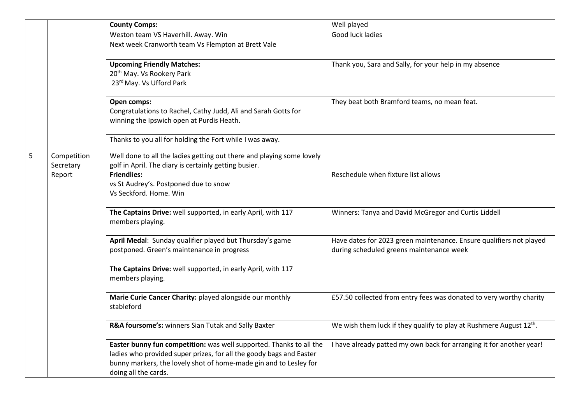|   |             | <b>County Comps:</b>                                                  | Well played                                                                     |
|---|-------------|-----------------------------------------------------------------------|---------------------------------------------------------------------------------|
|   |             | Weston team VS Haverhill. Away. Win                                   | Good luck ladies                                                                |
|   |             | Next week Cranworth team Vs Flempton at Brett Vale                    |                                                                                 |
|   |             |                                                                       |                                                                                 |
|   |             | <b>Upcoming Friendly Matches:</b>                                     | Thank you, Sara and Sally, for your help in my absence                          |
|   |             | 20 <sup>th</sup> May. Vs Rookery Park                                 |                                                                                 |
|   |             | 23rd May. Vs Ufford Park                                              |                                                                                 |
|   |             | Open comps:                                                           | They beat both Bramford teams, no mean feat.                                    |
|   |             | Congratulations to Rachel, Cathy Judd, Ali and Sarah Gotts for        |                                                                                 |
|   |             | winning the Ipswich open at Purdis Heath.                             |                                                                                 |
|   |             | Thanks to you all for holding the Fort while I was away.              |                                                                                 |
|   |             |                                                                       |                                                                                 |
| 5 | Competition | Well done to all the ladies getting out there and playing some lovely |                                                                                 |
|   | Secretary   | golf in April. The diary is certainly getting busier.                 |                                                                                 |
|   | Report      | <b>Friendlies:</b>                                                    | Reschedule when fixture list allows                                             |
|   |             | vs St Audrey's. Postponed due to snow                                 |                                                                                 |
|   |             | Vs Seckford, Home, Win                                                |                                                                                 |
|   |             | The Captains Drive: well supported, in early April, with 117          | Winners: Tanya and David McGregor and Curtis Liddell                            |
|   |             | members playing.                                                      |                                                                                 |
|   |             |                                                                       |                                                                                 |
|   |             | April Medal: Sunday qualifier played but Thursday's game              | Have dates for 2023 green maintenance. Ensure qualifiers not played             |
|   |             | postponed. Green's maintenance in progress                            | during scheduled greens maintenance week                                        |
|   |             | The Captains Drive: well supported, in early April, with 117          |                                                                                 |
|   |             | members playing.                                                      |                                                                                 |
|   |             |                                                                       |                                                                                 |
|   |             | Marie Curie Cancer Charity: played alongside our monthly              | £57.50 collected from entry fees was donated to very worthy charity             |
|   |             | stableford                                                            |                                                                                 |
|   |             |                                                                       |                                                                                 |
|   |             | R&A foursome's: winners Sian Tutak and Sally Baxter                   | We wish them luck if they qualify to play at Rushmere August 12 <sup>th</sup> . |
|   |             | Easter bunny fun competition: was well supported. Thanks to all the   | I have already patted my own back for arranging it for another year!            |
|   |             | ladies who provided super prizes, for all the goody bags and Easter   |                                                                                 |
|   |             | bunny markers, the lovely shot of home-made gin and to Lesley for     |                                                                                 |
|   |             | doing all the cards.                                                  |                                                                                 |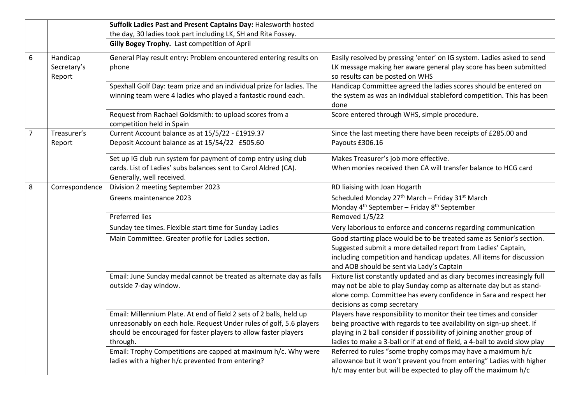|                |                                   | Suffolk Ladies Past and Present Captains Day: Halesworth hosted                                                                                                                                                                                                                                                                                  |                                                                                                                                                                                                                                                                                                                                                                                                                                            |
|----------------|-----------------------------------|--------------------------------------------------------------------------------------------------------------------------------------------------------------------------------------------------------------------------------------------------------------------------------------------------------------------------------------------------|--------------------------------------------------------------------------------------------------------------------------------------------------------------------------------------------------------------------------------------------------------------------------------------------------------------------------------------------------------------------------------------------------------------------------------------------|
|                |                                   | the day, 30 ladies took part including LK, SH and Rita Fossey.                                                                                                                                                                                                                                                                                   |                                                                                                                                                                                                                                                                                                                                                                                                                                            |
|                |                                   | Gilly Bogey Trophy. Last competition of April                                                                                                                                                                                                                                                                                                    |                                                                                                                                                                                                                                                                                                                                                                                                                                            |
| 6              | Handicap<br>Secretary's<br>Report | General Play result entry: Problem encountered entering results on<br>phone                                                                                                                                                                                                                                                                      | Easily resolved by pressing 'enter' on IG system. Ladies asked to send<br>LK message making her aware general play score has been submitted<br>so results can be posted on WHS                                                                                                                                                                                                                                                             |
|                |                                   | Spexhall Golf Day: team prize and an individual prize for ladies. The<br>winning team were 4 ladies who played a fantastic round each.                                                                                                                                                                                                           | Handicap Committee agreed the ladies scores should be entered on<br>the system as was an individual stableford competition. This has been<br>done                                                                                                                                                                                                                                                                                          |
|                |                                   | Request from Rachael Goldsmith: to upload scores from a<br>competition held in Spain                                                                                                                                                                                                                                                             | Score entered through WHS, simple procedure.                                                                                                                                                                                                                                                                                                                                                                                               |
| $\overline{7}$ | Treasurer's<br>Report             | Current Account balance as at 15/5/22 - £1919.37<br>Deposit Account balance as at 15/54/22 £505.60                                                                                                                                                                                                                                               | Since the last meeting there have been receipts of £285.00 and<br>Payouts £306.16                                                                                                                                                                                                                                                                                                                                                          |
|                |                                   | Set up IG club run system for payment of comp entry using club<br>cards. List of Ladies' subs balances sent to Carol Aldred (CA).<br>Generally, well received.                                                                                                                                                                                   | Makes Treasurer's job more effective.<br>When monies received then CA will transfer balance to HCG card                                                                                                                                                                                                                                                                                                                                    |
| 8              | Correspondence                    | Division 2 meeting September 2023                                                                                                                                                                                                                                                                                                                | RD liaising with Joan Hogarth                                                                                                                                                                                                                                                                                                                                                                                                              |
|                |                                   | Greens maintenance 2023                                                                                                                                                                                                                                                                                                                          | Scheduled Monday 27 <sup>th</sup> March - Friday 31 <sup>st</sup> March<br>Monday 4 <sup>th</sup> September - Friday 8 <sup>th</sup> September                                                                                                                                                                                                                                                                                             |
|                |                                   | <b>Preferred lies</b>                                                                                                                                                                                                                                                                                                                            | Removed 1/5/22                                                                                                                                                                                                                                                                                                                                                                                                                             |
|                |                                   | Sunday tee times. Flexible start time for Sunday Ladies                                                                                                                                                                                                                                                                                          | Very laborious to enforce and concerns regarding communication                                                                                                                                                                                                                                                                                                                                                                             |
|                |                                   | Main Committee. Greater profile for Ladies section.                                                                                                                                                                                                                                                                                              | Good starting place would be to be treated same as Senior's section.<br>Suggested submit a more detailed report from Ladies' Captain,<br>including competition and handicap updates. All items for discussion<br>and AOB should be sent via Lady's Captain                                                                                                                                                                                 |
|                |                                   | Email: June Sunday medal cannot be treated as alternate day as falls<br>outside 7-day window.                                                                                                                                                                                                                                                    | Fixture list constantly updated and as diary becomes increasingly full<br>may not be able to play Sunday comp as alternate day but as stand-<br>alone comp. Committee has every confidence in Sara and respect her<br>decisions as comp secretary                                                                                                                                                                                          |
|                |                                   | Email: Millennium Plate. At end of field 2 sets of 2 balls, held up<br>unreasonably on each hole. Request Under rules of golf, 5.6 players<br>should be encouraged for faster players to allow faster players<br>through.<br>Email: Trophy Competitions are capped at maximum h/c. Why were<br>ladies with a higher h/c prevented from entering? | Players have responsibility to monitor their tee times and consider<br>being proactive with regards to tee availability on sign-up sheet. If<br>playing in 2 ball consider if possibility of joining another group of<br>ladies to make a 3-ball or if at end of field, a 4-ball to avoid slow play<br>Referred to rules "some trophy comps may have a maximum h/c<br>allowance but it won't prevent you from entering" Ladies with higher |
|                |                                   |                                                                                                                                                                                                                                                                                                                                                  | h/c may enter but will be expected to play off the maximum h/c                                                                                                                                                                                                                                                                                                                                                                             |